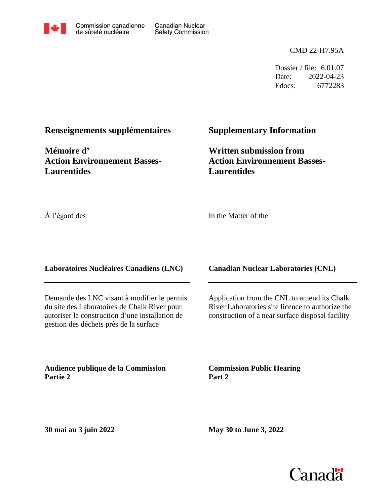

Canadian Nuclear Safety Commission

CMD 22-H7.95A

Dossier / file: 6.01.07 Date: 2022-04-23 Edocs: 6772283

**Renseignements supplémentaires**

**Mémoire d' Action Environnement Basses-Laurentides**

# **Supplementary Information**

**Written submission from Action Environnement Basses-Laurentides**

À l'égard des

In the Matter of the

**Laboratoires Nucléaires Canadiens (LNC)**

Demande des LNC visant à modifier le permis du site des Laboratoires de Chalk River pour autoriser la construction d'une installation de gestion des déchets près de la surface

**Audience publique de la Commission Partie 2**

**Canadian Nuclear Laboratories (CNL)**

Application from the CNL to amend its Chalk River Laboratories site licence to authorize the construction of a near surface disposal facility

**Commission Public Hearing Part 2**

**30 mai au 3 juin 2022**

**May 30 to June 3, 2022**

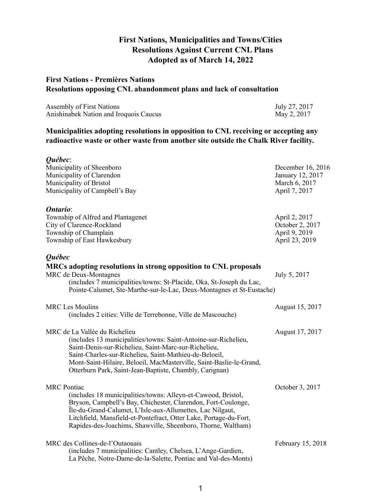# **First Nations, Municipalities and Towns/Cities Resolutions Against Current CNL Plans Adopted as of March 14, 2022**

# **First Nations - Premières Nations Resolutions opposing CNL abandonment plans and lack of consultation**

| <b>Assembly of First Nations</b>       | July 27, 2017 |
|----------------------------------------|---------------|
| Anishinabek Nation and Iroquois Caucus | May 2, 2017   |

# **Municipalities adopting resolutions in opposition to CNL receiving or accepting any radioactive waste or other waste from another site outside the Chalk River facility.**

| Québec:<br>Municipality of Sheenboro<br>Municipality of Clarendon<br>Municipality of Bristol<br>Municipality of Campbell's Bay                                                                                                                                                                                                                         | December 16, 2016<br>January 12, 2017<br>March 6, 2017<br>April 7, 2017 |
|--------------------------------------------------------------------------------------------------------------------------------------------------------------------------------------------------------------------------------------------------------------------------------------------------------------------------------------------------------|-------------------------------------------------------------------------|
| Ontario:<br>Township of Alfred and Plantagenet<br>City of Clarence-Rockland<br>Township of Champlain<br>Township of East Hawkesbury                                                                                                                                                                                                                    | April 2, 2017<br>October 2, 2017<br>April 9, 2019<br>April 23, 2019     |
| Québec<br>MRCs adopting resolutions in strong opposition to CNL proposals<br>MRC de Deux-Montagnes<br>(includes 7 municipalities/towns: St-Placide, Oka, St-Joseph du Lac,<br>Pointe-Calumet, Ste-Marthe-sur-le-Lac, Deux-Montagnes et St-Eustache)                                                                                                    | July 5, 2017                                                            |
| <b>MRC</b> Les Moulins<br>(includes 2 cities: Ville de Terrebonne, Ville de Mascouche)                                                                                                                                                                                                                                                                 | August 15, 2017                                                         |
| MRC de La Vallée du Richelieu<br>(includes 13 municipalities/towns: Saint-Antoine-sur-Richelieu,<br>Saint-Denis-sur-Richelieu, Saint-Marc-sur-Richelieu,<br>Saint-Charles-sur-Richelieu, Saint-Mathieu-de-Beloeil,<br>Mont-Saint-Hilaire, Beloeil, MacMasterville, Saint-Baslie-le-Grand,<br>Otterburn Park, Saint-Jean-Baptiste, Chambly, Carignan)   | August 17, 2017                                                         |
| <b>MRC</b> Pontiac<br>(includes 18 municipalities/towns: Alleyn-et-Cawood, Bristol,<br>Bryson, Campbell's Bay, Chichester, Clarendon, Fort-Coulonge,<br>Île-du-Grand-Calumet, L'Isle-aux-Allumettes, Lac Nilgaut,<br>Litchfield, Mansfield-et-Pontefract, Otter Lake, Portage-du-Fort,<br>Rapides-des-Joachims, Shawville, Sheenboro, Thorne, Waltham) | October 3, 2017                                                         |
| MRC des Collines-de-l'Outaouais<br>(includes 7 municipalities: Cantley, Chelsea, L'Ange-Gardien,<br>La Pêche, Notre-Dame-de-la-Salette, Pontiac and Val-des-Monts)                                                                                                                                                                                     | February 15, 2018                                                       |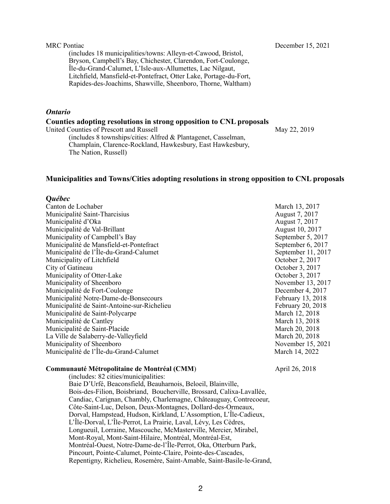(includes 18 municipalities/towns: Alleyn-et-Cawood, Bristol, Bryson, Campbell's Bay, Chichester, Clarendon, Fort-Coulonge, Île-du-Grand-Calumet, L'Isle-aux-Allumettes, Lac Nilgaut, Litchfield, Mansfield-et-Pontefract, Otter Lake, Portage-du-Fort, Rapides-des-Joachims, Shawville, Sheenboro, Thorne, Waltham)

## *Ontario*

### **Counties adopting resolutions in strong opposition to CNL proposals**

United Counties of Prescott and Russell May 22, 2019

(includes 8 townships/cities: Alfred & Plantagenet, Casselman, Champlain, Clarence-Rockland, Hawkesbury, East Hawkesbury, The Nation, Russell)

## **Municipalities and Towns/Cities adopting resolutions in strong opposition to CNL proposals**

## **Q***uébec*

Canton de Lochaber March 13, 2017 Municipalité Saint-Tharcisius August 7, 2017<br>
Municipalité d'Oka August 7, 2017 Municipalité d'Oka Municipalité de Val-Brillant (august 10, 2017) Municipality of Campbell's Bay September 5, 2017 Municipalité de Mansfield-et-Pontefract September 6, 2017 Municipalité de l'Île-du-Grand-Calumet September 11, 2017 Municipality of Litchfield **October 2, 2017** City of Gatineau October 3, 2017 Municipality of Otter-Lake October 3, 2017 Municipality of Sheenboro November 13, 2017 Municipalité de Fort-Coulonge de Coulonge de Coulonge de Coulonge de Coulonge de Coulonge de Coulonge de Coulonge de Coulonge de Coulonge de Coulonge de Coulonge de Coulonge de Coulonge de Coulonge de Coulonge de Coulonge Municipalité Notre-Dame-de-Bonsecours February 13, 2018 Municipalité de Saint-Antoine-sur-Richelieu February 20, 2018 Municipalité de Saint-Polycarpe (1986) and the March 12, 2018 Municipalité de Cantley (1996) and the Cantley March 13, 2018 Municipalité de Saint-Placide March 20, 2018 La Ville de Salaberry-de-Valleyfield March 20, 2018 Municipality of Sheenboro November 15, 2021 Municipalité de l'Île-du-Grand-Calumet March 14, 2022

## **Communauté Métropolitaine de Montréal (CMM)** April 26, 2018

(includes: 82 cities/municipalities: Baie D'Urfé, Beaconsfield, Beauharnois, Beloeil, Blainville, Bois-des-Filion, Boisbriand, Boucherville, Brossard, Calixa-Lavallée, Candiac, Carignan, Chambly, Charlemagne, Châteauguay, Contrecoeur, Côte-Saint-Luc, Delson, Deux-Montagnes, Dollard-des-Ormeaux, Dorval, Hampstead, Hudson, Kirkland, L'Assomption, L'Île-Cadieux, L'Île-Dorval, L'Île-Perrot, La Prairie, Laval, Lévy, Les Cèdres, Longueuil, Lorraine, Mascouche, McMasterville, Mercier, Mirabel, Mont-Royal, Mont-Saint-Hilaire, Montréal, Montréal-Est, Montréal-Ouest, Notre-Dame-de-l'Île-Perrot, Oka, Otterburn Park, Pincourt, Pointe-Calumet, Pointe-Claire, Pointe-des-Cascades, Repentigny, Richelieu, Rosemère, Saint-Amable, Saint-Basile-le-Grand,

MRC Pontiac December 15, 2021